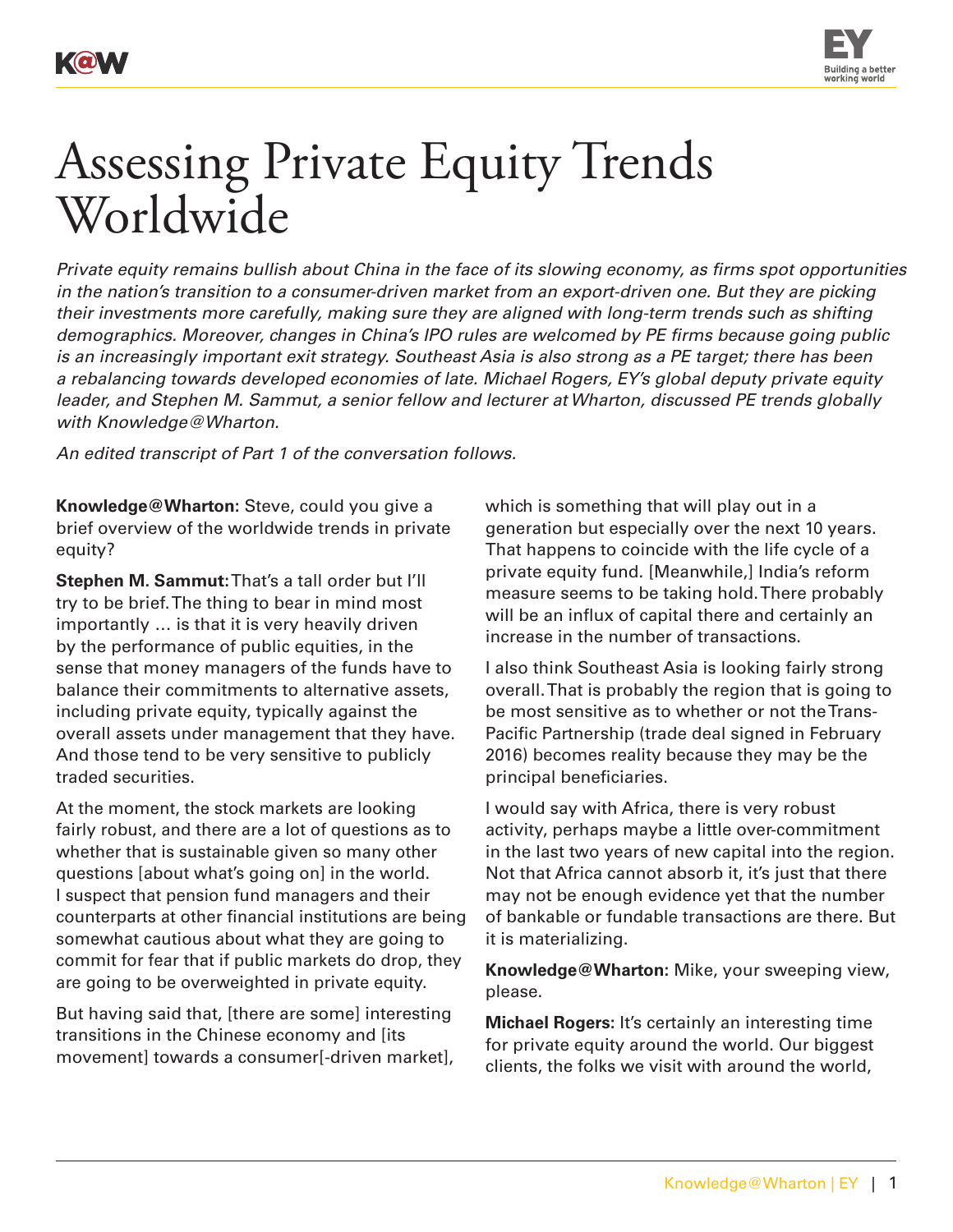

Assessing Private Equity Trends

*Private equity remains bullish about China in the face of its slowing economy, as firms spot opportunities in the nation's transition to a consumer-driven market from an export-driven one. But they are picking their investments more carefully, making sure they are aligned with long-term trends such as shifting demographics. Moreover, changes in China's IPO rules are welcomed by PE firms because going public is an increasingly important exit strategy. Southeast Asia is also strong as a PE target; there has been a rebalancing towards developed economies of late. Michael Rogers, EY's global deputy private equity leader, and Stephen M. Sammut, a senior fellow and lecturer at Wharton, discussed PE trends globally with Knowledge@Wharton.*

*An edited transcript of Part 1 of the conversation follows.*

**Knowledge@Wharton:** Steve, could you give a brief overview of the worldwide trends in private equity?

**Stephen M. Sammut:** That's a tall order but I'll try to be brief. The thing to bear in mind most importantly … is that it is very heavily driven by the performance of public equities, in the sense that money managers of the funds have to balance their commitments to alternative assets, including private equity, typically against the overall assets under management that they have. And those tend to be very sensitive to publicly traded securities.

At the moment, the stock markets are looking fairly robust, and there are a lot of questions as to whether that is sustainable given so many other questions [about what's going on] in the world. I suspect that pension fund managers and their counterparts at other financial institutions are being somewhat cautious about what they are going to commit for fear that if public markets do drop, they are going to be overweighted in private equity.

But having said that, [there are some] interesting transitions in the Chinese economy and [its movement] towards a consumer[-driven market], which is something that will play out in a generation but especially over the next 10 years. That happens to coincide with the life cycle of a private equity fund. [Meanwhile,] India's reform measure seems to be taking hold. There probably will be an influx of capital there and certainly an increase in the number of transactions.

I also think Southeast Asia is looking fairly strong overall. That is probably the region that is going to be most sensitive as to whether or not the Trans-Pacific Partnership (trade deal signed in February 2016) becomes reality because they may be the principal beneficiaries.

I would say with Africa, there is very robust activity, perhaps maybe a little over-commitment in the last two years of new capital into the region. Not that Africa cannot absorb it, it's just that there may not be enough evidence yet that the number of bankable or fundable transactions are there. But it is materializing.

**Knowledge@Wharton:** Mike, your sweeping view, please.

**Michael Rogers:** It's certainly an interesting time for private equity around the world. Our biggest clients, the folks we visit with around the world,





Worldwide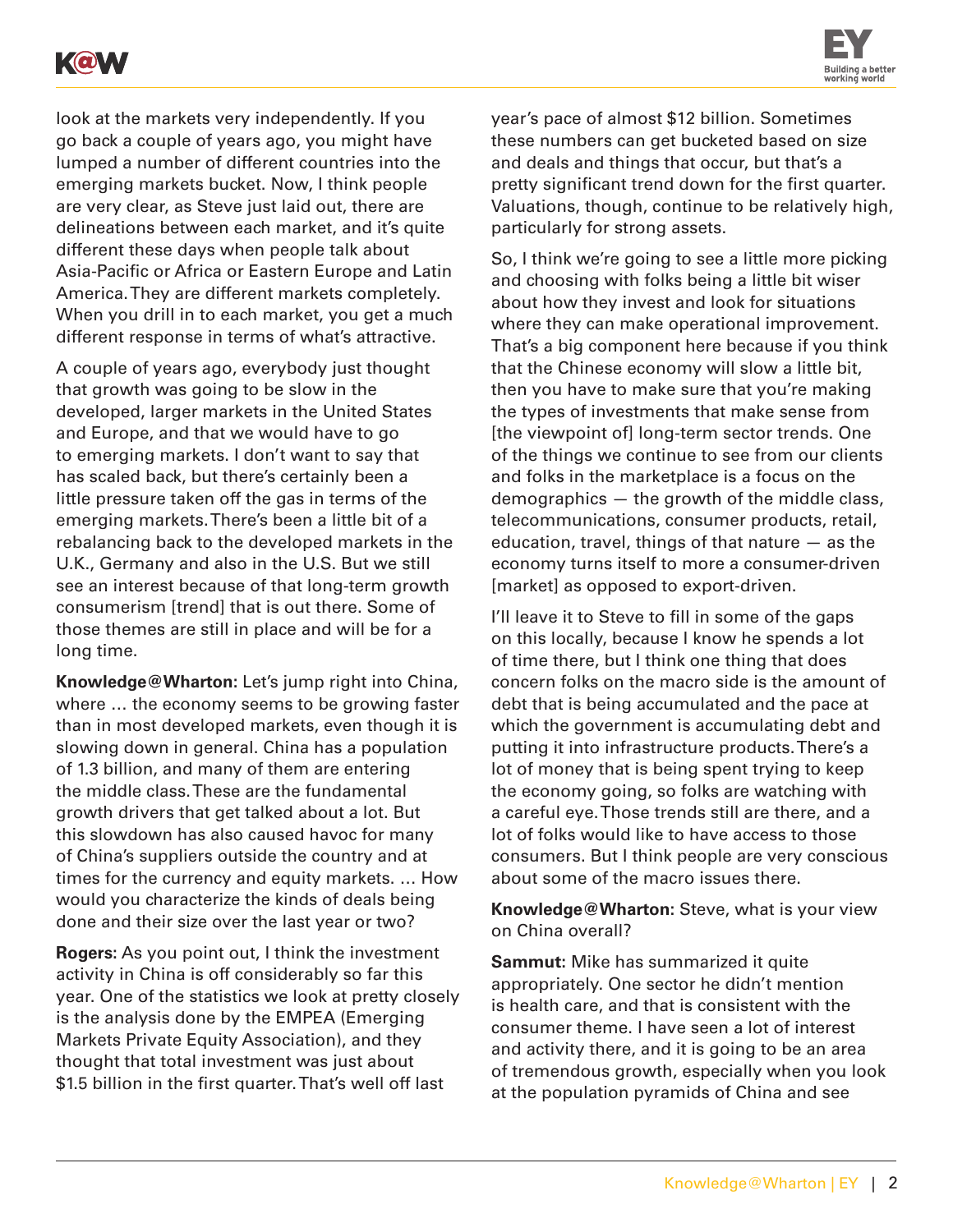



look at the markets very independently. If you go back a couple of years ago, you might have lumped a number of different countries into the emerging markets bucket. Now, I think people are very clear, as Steve just laid out, there are delineations between each market, and it's quite different these days when people talk about Asia-Pacific or Africa or Eastern Europe and Latin America. They are different markets completely. When you drill in to each market, you get a much different response in terms of what's attractive.

A couple of years ago, everybody just thought that growth was going to be slow in the developed, larger markets in the United States and Europe, and that we would have to go to emerging markets. I don't want to say that has scaled back, but there's certainly been a little pressure taken off the gas in terms of the emerging markets. There's been a little bit of a rebalancing back to the developed markets in the U.K., Germany and also in the U.S. But we still see an interest because of that long-term growth consumerism [trend] that is out there. Some of those themes are still in place and will be for a long time.

**Knowledge@Wharton:** Let's jump right into China, where … the economy seems to be growing faster than in most developed markets, even though it is slowing down in general. China has a population of 1.3 billion, and many of them are entering the middle class. These are the fundamental growth drivers that get talked about a lot. But this slowdown has also caused havoc for many of China's suppliers outside the country and at times for the currency and equity markets. … How would you characterize the kinds of deals being done and their size over the last year or two?

**Rogers:** As you point out, I think the investment activity in China is off considerably so far this year. One of the statistics we look at pretty closely is the analysis done by the EMPEA (Emerging Markets Private Equity Association), and they thought that total investment was just about \$1.5 billion in the first quarter. That's well off last

year's pace of almost \$12 billion. Sometimes these numbers can get bucketed based on size and deals and things that occur, but that's a pretty significant trend down for the first quarter. Valuations, though, continue to be relatively high, particularly for strong assets.

So, I think we're going to see a little more picking and choosing with folks being a little bit wiser about how they invest and look for situations where they can make operational improvement. That's a big component here because if you think that the Chinese economy will slow a little bit, then you have to make sure that you're making the types of investments that make sense from [the viewpoint of] long-term sector trends. One of the things we continue to see from our clients and folks in the marketplace is a focus on the demographics — the growth of the middle class, telecommunications, consumer products, retail, education, travel, things of that nature — as the economy turns itself to more a consumer-driven [market] as opposed to export-driven.

I'll leave it to Steve to fill in some of the gaps on this locally, because I know he spends a lot of time there, but I think one thing that does concern folks on the macro side is the amount of debt that is being accumulated and the pace at which the government is accumulating debt and putting it into infrastructure products. There's a lot of money that is being spent trying to keep the economy going, so folks are watching with a careful eye. Those trends still are there, and a lot of folks would like to have access to those consumers. But I think people are very conscious about some of the macro issues there.

**Knowledge@Wharton:** Steve, what is your view on China overall?

**Sammut:** Mike has summarized it quite appropriately. One sector he didn't mention is health care, and that is consistent with the consumer theme. I have seen a lot of interest and activity there, and it is going to be an area of tremendous growth, especially when you look at the population pyramids of China and see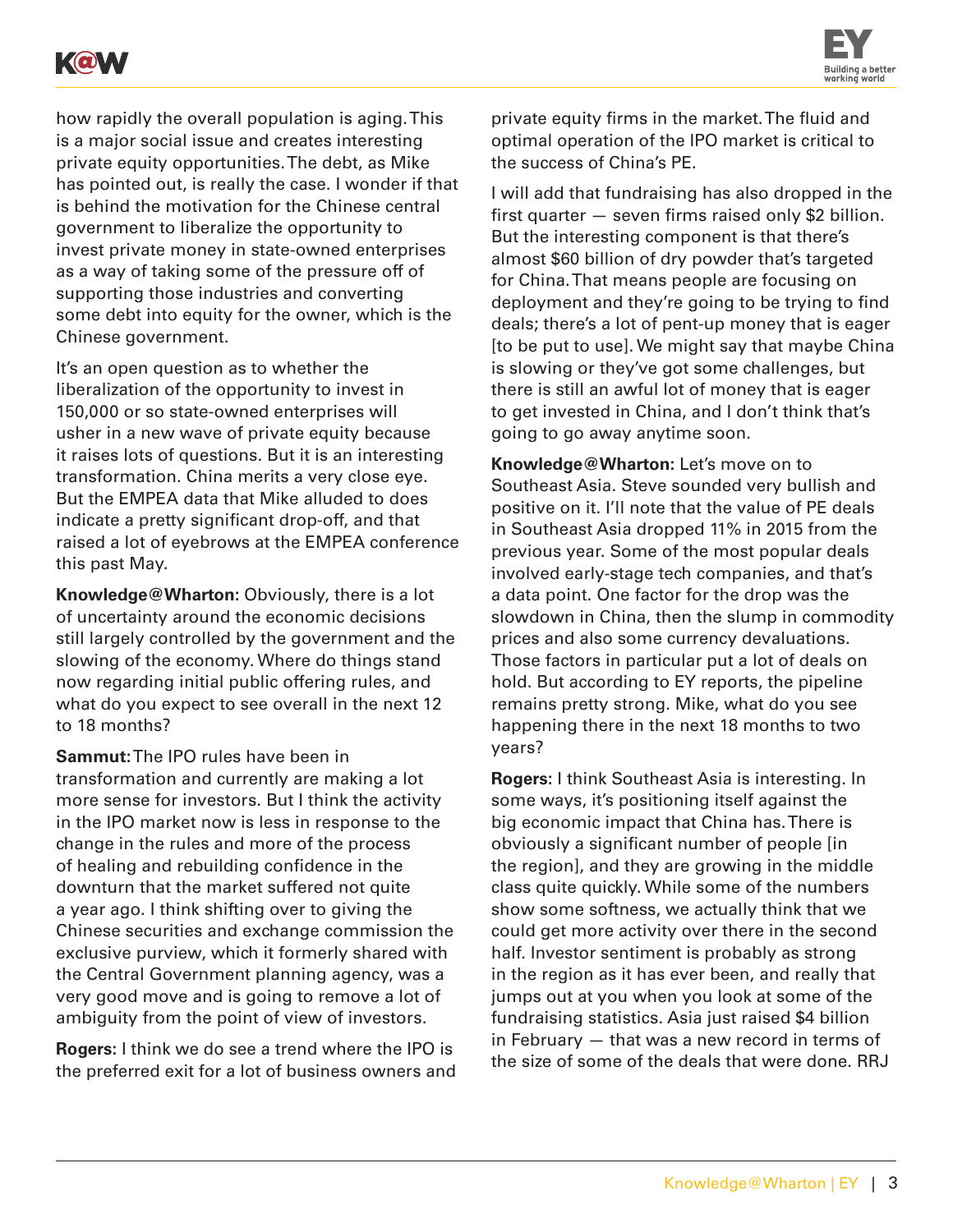



how rapidly the overall population is aging. This is a major social issue and creates interesting private equity opportunities. The debt, as Mike has pointed out, is really the case. I wonder if that is behind the motivation for the Chinese central government to liberalize the opportunity to invest private money in state-owned enterprises as a way of taking some of the pressure off of supporting those industries and converting some debt into equity for the owner, which is the Chinese government.

It's an open question as to whether the liberalization of the opportunity to invest in 150,000 or so state-owned enterprises will usher in a new wave of private equity because it raises lots of questions. But it is an interesting transformation. China merits a very close eye. But the EMPEA data that Mike alluded to does indicate a pretty significant drop-off, and that raised a lot of eyebrows at the EMPEA conference this past May.

**Knowledge@Wharton:** Obviously, there is a lot of uncertainty around the economic decisions still largely controlled by the government and the slowing of the economy. Where do things stand now regarding initial public offering rules, and what do you expect to see overall in the next 12 to 18 months?

**Sammut:** The IPO rules have been in transformation and currently are making a lot more sense for investors. But I think the activity in the IPO market now is less in response to the change in the rules and more of the process of healing and rebuilding confidence in the downturn that the market suffered not quite a year ago. I think shifting over to giving the Chinese securities and exchange commission the exclusive purview, which it formerly shared with the Central Government planning agency, was a very good move and is going to remove a lot of ambiguity from the point of view of investors.

**Rogers:** I think we do see a trend where the IPO is the preferred exit for a lot of business owners and private equity firms in the market. The fluid and optimal operation of the IPO market is critical to the success of China's PE.

I will add that fundraising has also dropped in the first quarter — seven firms raised only \$2 billion. But the interesting component is that there's almost \$60 billion of dry powder that's targeted for China. That means people are focusing on deployment and they're going to be trying to find deals; there's a lot of pent-up money that is eager [to be put to use]. We might say that maybe China is slowing or they've got some challenges, but there is still an awful lot of money that is eager to get invested in China, and I don't think that's going to go away anytime soon.

**Knowledge@Wharton:** Let's move on to Southeast Asia. Steve sounded very bullish and positive on it. I'll note that the value of PE deals in Southeast Asia dropped 11% in 2015 from the previous year. Some of the most popular deals involved early-stage tech companies, and that's a data point. One factor for the drop was the slowdown in China, then the slump in commodity prices and also some currency devaluations. Those factors in particular put a lot of deals on hold. But according to EY reports, the pipeline remains pretty strong. Mike, what do you see happening there in the next 18 months to two years?

**Rogers:** I think Southeast Asia is interesting. In some ways, it's positioning itself against the big economic impact that China has. There is obviously a significant number of people [in the region], and they are growing in the middle class quite quickly. While some of the numbers show some softness, we actually think that we could get more activity over there in the second half. Investor sentiment is probably as strong in the region as it has ever been, and really that jumps out at you when you look at some of the fundraising statistics. Asia just raised \$4 billion in February — that was a new record in terms of the size of some of the deals that were done. RRJ